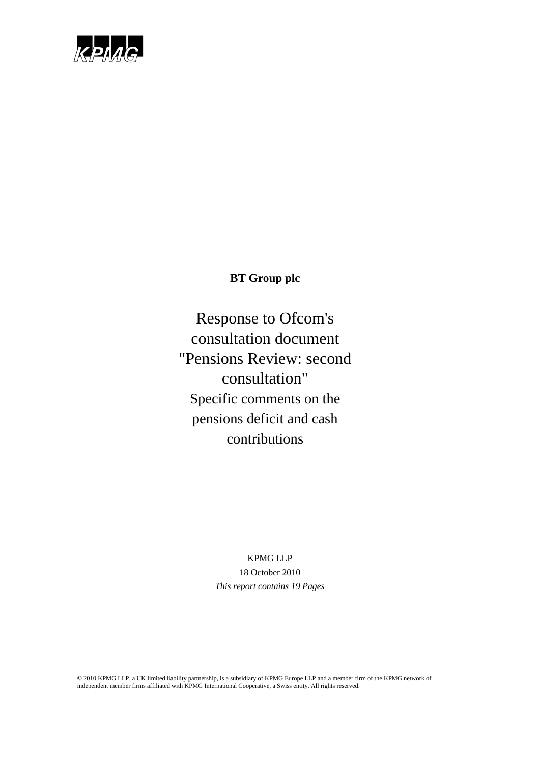

# **BT Group plc**

Response to Ofcom's consultation document "Pensions Review: second consultation" Specific comments on the pensions deficit and cash contributions

## KPMG LLP 18 October 2010 *This report contains 19 Pages*

© 2010 KPMG LLP, a UK limited liability partnership, is a subsidiary of KPMG Europe LLP and a member firm of the KPMG network of independent member firms affiliated with KPMG International Cooperative, a Swiss entity. All rights reserved.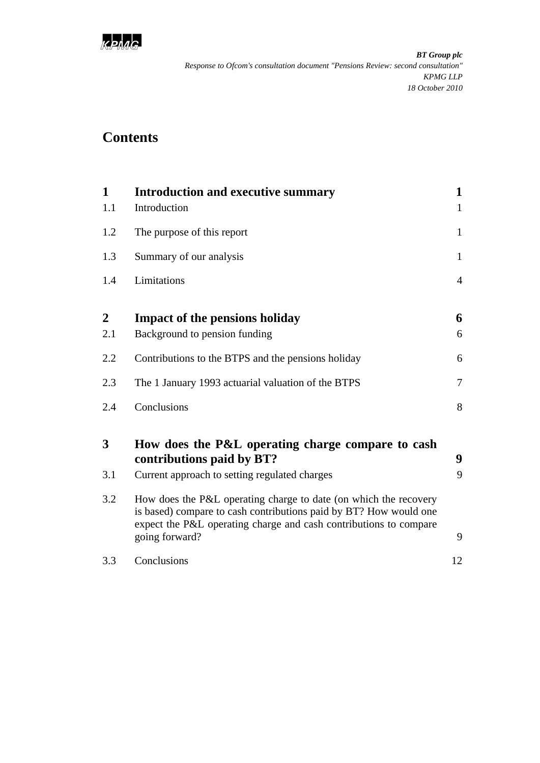

# **Contents**

| 1                | <b>Introduction and executive summary</b>                                                                                                                                                                                    | $\mathbf{1}$   |  |
|------------------|------------------------------------------------------------------------------------------------------------------------------------------------------------------------------------------------------------------------------|----------------|--|
| 1.1              | Introduction                                                                                                                                                                                                                 | $\mathbf{1}$   |  |
| 1.2              | The purpose of this report                                                                                                                                                                                                   | 1              |  |
| 1.3              | Summary of our analysis                                                                                                                                                                                                      |                |  |
| 1.4              | Limitations                                                                                                                                                                                                                  | $\overline{4}$ |  |
| $\boldsymbol{2}$ | <b>Impact of the pensions holiday</b>                                                                                                                                                                                        | 6              |  |
| 2.1              | Background to pension funding                                                                                                                                                                                                | 6              |  |
| 2.2              | Contributions to the BTPS and the pensions holiday                                                                                                                                                                           | 6              |  |
| 2.3              | The 1 January 1993 actuarial valuation of the BTPS                                                                                                                                                                           | $\overline{7}$ |  |
| 2.4              | Conclusions                                                                                                                                                                                                                  | 8              |  |
| 3                | How does the P&L operating charge compare to cash<br>contributions paid by BT?                                                                                                                                               | 9              |  |
| 3.1              | Current approach to setting regulated charges                                                                                                                                                                                | 9              |  |
| 3.2              | How does the P&L operating charge to date (on which the recovery<br>is based) compare to cash contributions paid by BT? How would one<br>expect the P&L operating charge and cash contributions to compare<br>going forward? | 9              |  |
| 3.3              | Conclusions                                                                                                                                                                                                                  | 12             |  |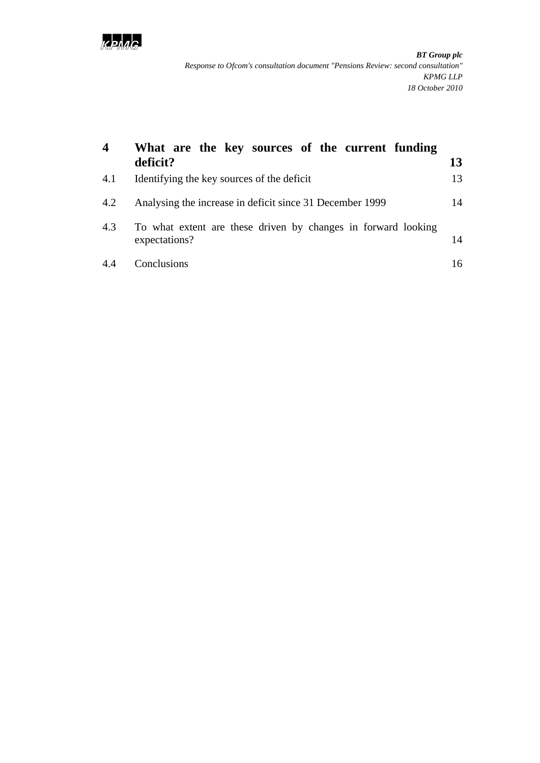

| 4   | What are the key sources of the current funding<br>deficit?                    | 13 |
|-----|--------------------------------------------------------------------------------|----|
| 4.1 | Identifying the key sources of the deficit                                     | 13 |
| 4.2 | Analysing the increase in deficit since 31 December 1999                       | 14 |
| 4.3 | To what extent are these driven by changes in forward looking<br>expectations? | 14 |
| 4.4 | Conclusions                                                                    | 16 |
|     |                                                                                |    |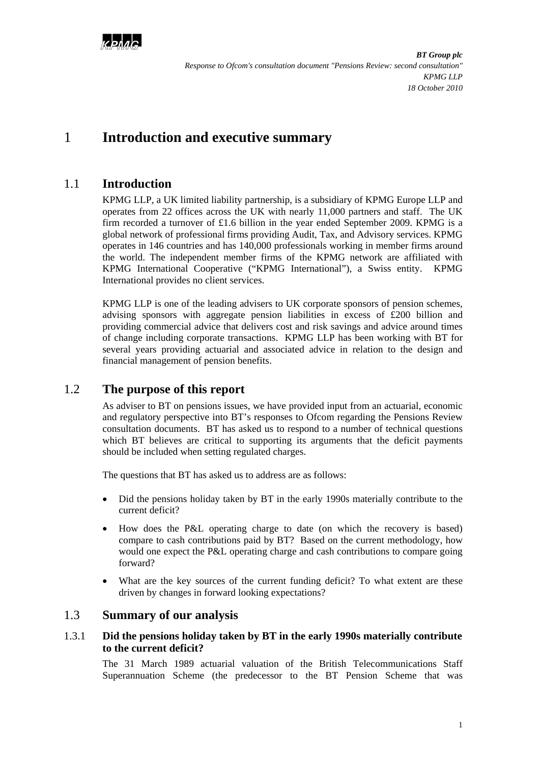

# <span id="page-3-0"></span>1 **Introduction and executive summary**

### <span id="page-3-1"></span>1.1 **Introduction**

KPMG LLP, a UK limited liability partnership, is a subsidiary of KPMG Europe LLP and operates from 22 offices across the UK with nearly 11,000 partners and staff. The UK firm recorded a turnover of £1.6 billion in the year ended September 2009. KPMG is a global network of professional firms providing Audit, Tax, and Advisory services. KPMG operates in 146 countries and has 140,000 professionals working in member firms around the world. The independent member firms of the KPMG network are affiliated with KPMG International Cooperative ("KPMG International"), a Swiss entity. KPMG International provides no client services.

KPMG LLP is one of the leading advisers to UK corporate sponsors of pension schemes, advising sponsors with aggregate pension liabilities in excess of £200 billion and providing commercial advice that delivers cost and risk savings and advice around times of change including corporate transactions. KPMG LLP has been working with BT for several years providing actuarial and associated advice in relation to the design and financial management of pension benefits.

### <span id="page-3-2"></span>1.2 **The purpose of this report**

As adviser to BT on pensions issues, we have provided input from an actuarial, economic and regulatory perspective into BT's responses to Ofcom regarding the Pensions Review consultation documents. BT has asked us to respond to a number of technical questions which BT believes are critical to supporting its arguments that the deficit payments should be included when setting regulated charges.

The questions that BT has asked us to address are as follows:

- Did the pensions holiday taken by BT in the early 1990s materially contribute to the current deficit?
- How does the P&L operating charge to date (on which the recovery is based) compare to cash contributions paid by BT? Based on the current methodology, how would one expect the P&L operating charge and cash contributions to compare going forward?
- What are the key sources of the current funding deficit? To what extent are these driven by changes in forward looking expectations?

#### <span id="page-3-3"></span>1.3 **Summary of our analysis**

#### 1.3.1 **Did the pensions holiday taken by BT in the early 1990s materially contribute to the current deficit?**

The 31 March 1989 actuarial valuation of the British Telecommunications Staff Superannuation Scheme (the predecessor to the BT Pension Scheme that was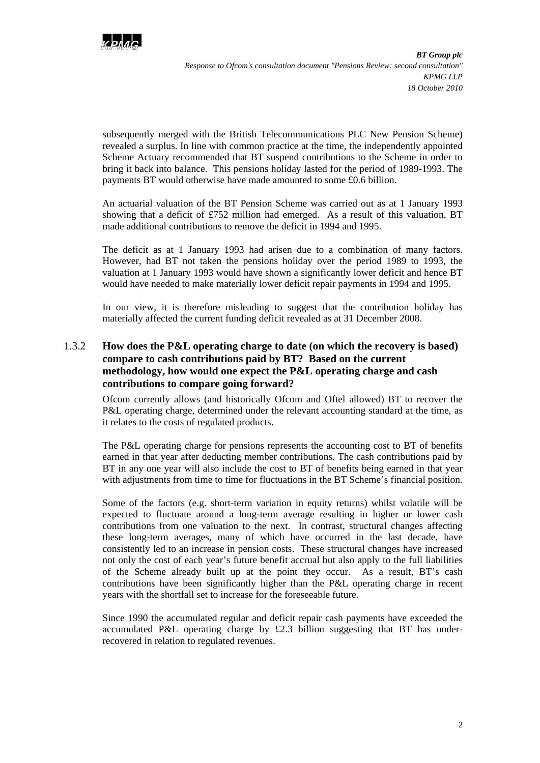

subsequently merged with the British Telecommunications PLC New Pension Scheme) revealed a surplus. In line with common practice at the time, the independently appointed Scheme Actuary recommended that BT suspend contributions to the Scheme in order to bring it back into balance. This pensions holiday lasted for the period of 1989-1993. The payments BT would otherwise have made amounted to some £0.6 billion.

An actuarial valuation of the BT Pension Scheme was carried out as at 1 January 1993 showing that a deficit of £752 million had emerged. As a result of this valuation, BT made additional contributions to remove the deficit in 1994 and 1995.

The deficit as at 1 January 1993 had arisen due to a combination of many factors. However, had BT not taken the pensions holiday over the period 1989 to 1993, the valuation at 1 January 1993 would have shown a significantly lower deficit and hence BT would have needed to make materially lower deficit repair payments in 1994 and 1995.

In our view, it is therefore misleading to suggest that the contribution holiday has materially affected the current funding deficit revealed as at 31 December 2008.

#### 1.3.2 **How does the P&L operating charge to date (on which the recovery is based) compare to cash contributions paid by BT? Based on the current methodology, how would one expect the P&L operating charge and cash contributions to compare going forward?**

Ofcom currently allows (and historically Ofcom and Oftel allowed) BT to recover the P&L operating charge, determined under the relevant accounting standard at the time, as it relates to the costs of regulated products.

The P&L operating charge for pensions represents the accounting cost to BT of benefits earned in that year after deducting member contributions. The cash contributions paid by BT in any one year will also include the cost to BT of benefits being earned in that year with adjustments from time to time for fluctuations in the BT Scheme's financial position.

Some of the factors (e.g. short-term variation in equity returns) whilst volatile will be expected to fluctuate around a long-term average resulting in higher or lower cash contributions from one valuation to the next. In contrast, structural changes affecting these long-term averages, many of which have occurred in the last decade, have consistently led to an increase in pension costs. These structural changes have increased not only the cost of each year's future benefit accrual but also apply to the full liabilities of the Scheme already built up at the point they occur. As a result, BT's cash contributions have been significantly higher than the P&L operating charge in recent years with the shortfall set to increase for the foreseeable future.

Since 1990 the accumulated regular and deficit repair cash payments have exceeded the accumulated P&L operating charge by £2.3 billion suggesting that BT has underrecovered in relation to regulated revenues.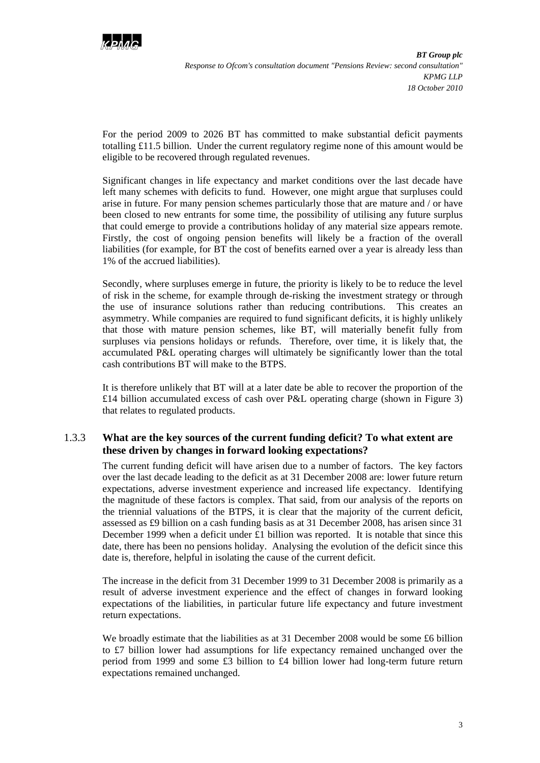

For the period 2009 to 2026 BT has committed to make substantial deficit payments totalling £11.5 billion. Under the current regulatory regime none of this amount would be eligible to be recovered through regulated revenues.

Significant changes in life expectancy and market conditions over the last decade have left many schemes with deficits to fund. However, one might argue that surpluses could arise in future. For many pension schemes particularly those that are mature and / or have been closed to new entrants for some time, the possibility of utilising any future surplus that could emerge to provide a contributions holiday of any material size appears remote. Firstly, the cost of ongoing pension benefits will likely be a fraction of the overall liabilities (for example, for BT the cost of benefits earned over a year is already less than 1% of the accrued liabilities).

Secondly, where surpluses emerge in future, the priority is likely to be to reduce the level of risk in the scheme, for example through de-risking the investment strategy or through the use of insurance solutions rather than reducing contributions. This creates an asymmetry. While companies are required to fund significant deficits, it is highly unlikely that those with mature pension schemes, like BT, will materially benefit fully from surpluses via pensions holidays or refunds. Therefore, over time, it is likely that, the accumulated P&L operating charges will ultimately be significantly lower than the total cash contributions BT will make to the BTPS.

It is therefore unlikely that BT will at a later date be able to recover the proportion of the £14 billion accumulated excess of cash over P&L operating charge (shown in Figure 3) that relates to regulated products.

#### 1.3.3 **What are the key sources of the current funding deficit? To what extent are these driven by changes in forward looking expectations?**

The current funding deficit will have arisen due to a number of factors. The key factors over the last decade leading to the deficit as at 31 December 2008 are: lower future return expectations, adverse investment experience and increased life expectancy. Identifying the magnitude of these factors is complex. That said, from our analysis of the reports on the triennial valuations of the BTPS, it is clear that the majority of the current deficit, assessed as £9 billion on a cash funding basis as at 31 December 2008, has arisen since 31 December 1999 when a deficit under  $£1$  billion was reported. It is notable that since this date, there has been no pensions holiday. Analysing the evolution of the deficit since this date is, therefore, helpful in isolating the cause of the current deficit.

The increase in the deficit from 31 December 1999 to 31 December 2008 is primarily as a result of adverse investment experience and the effect of changes in forward looking expectations of the liabilities, in particular future life expectancy and future investment return expectations.

We broadly estimate that the liabilities as at 31 December 2008 would be some £6 billion to £7 billion lower had assumptions for life expectancy remained unchanged over the period from 1999 and some  $\pounds 3$  billion to  $\pounds 4$  billion lower had long-term future return expectations remained unchanged.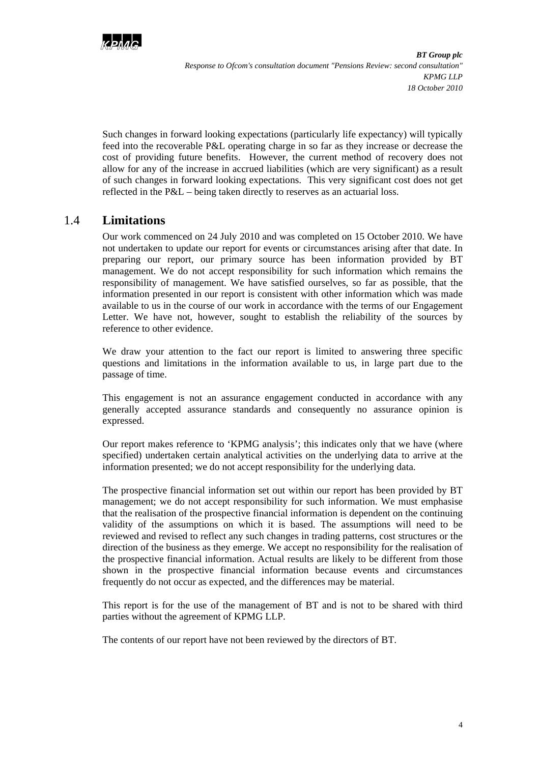

Such changes in forward looking expectations (particularly life expectancy) will typically feed into the recoverable P&L operating charge in so far as they increase or decrease the cost of providing future benefits. However, the current method of recovery does not allow for any of the increase in accrued liabilities (which are very significant) as a result of such changes in forward looking expectations. This very significant cost does not get reflected in the P&L – being taken directly to reserves as an actuarial loss.

## <span id="page-6-0"></span>1.4 **Limitations**

Our work commenced on 24 July 2010 and was completed on 15 October 2010. We have not undertaken to update our report for events or circumstances arising after that date. In preparing our report, our primary source has been information provided by BT management. We do not accept responsibility for such information which remains the responsibility of management. We have satisfied ourselves, so far as possible, that the information presented in our report is consistent with other information which was made available to us in the course of our work in accordance with the terms of our Engagement Letter. We have not, however, sought to establish the reliability of the sources by reference to other evidence.

We draw your attention to the fact our report is limited to answering three specific questions and limitations in the information available to us, in large part due to the passage of time.

This engagement is not an assurance engagement conducted in accordance with any generally accepted assurance standards and consequently no assurance opinion is expressed.

Our report makes reference to 'KPMG analysis'; this indicates only that we have (where specified) undertaken certain analytical activities on the underlying data to arrive at the information presented; we do not accept responsibility for the underlying data.

The prospective financial information set out within our report has been provided by BT management; we do not accept responsibility for such information. We must emphasise that the realisation of the prospective financial information is dependent on the continuing validity of the assumptions on which it is based. The assumptions will need to be reviewed and revised to reflect any such changes in trading patterns, cost structures or the direction of the business as they emerge. We accept no responsibility for the realisation of the prospective financial information. Actual results are likely to be different from those shown in the prospective financial information because events and circumstances frequently do not occur as expected, and the differences may be material.

This report is for the use of the management of BT and is not to be shared with third parties without the agreement of KPMG LLP.

The contents of our report have not been reviewed by the directors of BT.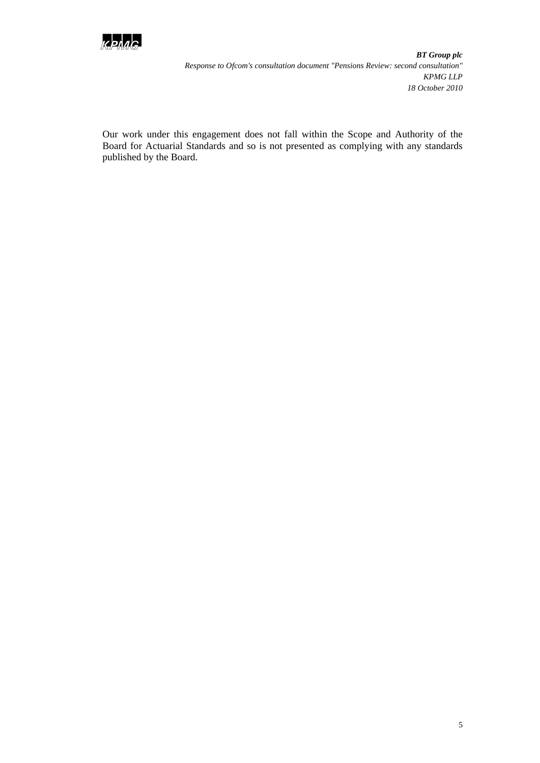

Our work under this engagement does not fall within the Scope and Authority of the Board for Actuarial Standards and so is not presented as complying with any standards published by the Board.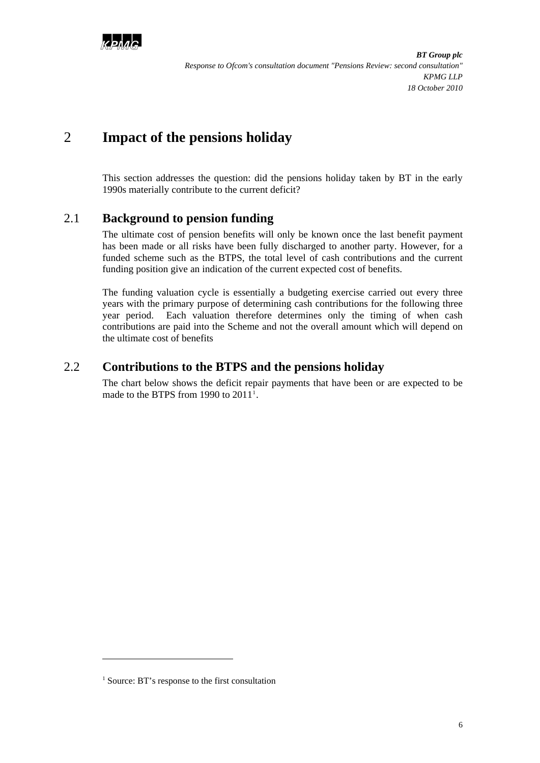

# <span id="page-8-0"></span>2 **Impact of the pensions holiday**

This section addresses the question: did the pensions holiday taken by BT in the early 1990s materially contribute to the current deficit?

### <span id="page-8-1"></span>2.1 **Background to pension funding**

The ultimate cost of pension benefits will only be known once the last benefit payment has been made or all risks have been fully discharged to another party. However, for a funded scheme such as the BTPS, the total level of cash contributions and the current funding position give an indication of the current expected cost of benefits.

The funding valuation cycle is essentially a budgeting exercise carried out every three years with the primary purpose of determining cash contributions for the following three year period. Each valuation therefore determines only the timing of when cash contributions are paid into the Scheme and not the overall amount which will depend on the ultimate cost of benefits

### <span id="page-8-2"></span>2.2 **Contributions to the BTPS and the pensions holiday**

The chart below shows the deficit repair payments that have been or are expected to be made to the BTPS from [1](#page-8-3)990 to  $2011<sup>1</sup>$ .

l

<span id="page-8-3"></span><sup>&</sup>lt;sup>1</sup> Source: BT's response to the first consultation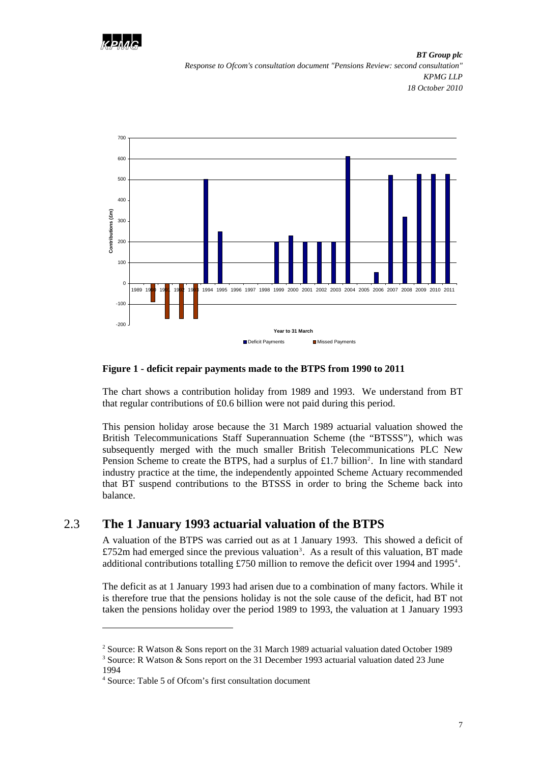



#### **Figure 1 - deficit repair payments made to the BTPS from 1990 to 2011**

The chart shows a contribution holiday from 1989 and 1993. We understand from BT that regular contributions of £0.6 billion were not paid during this period.

This pension holiday arose because the 31 March 1989 actuarial valuation showed the British Telecommunications Staff Superannuation Scheme (the "BTSSS"), which was subsequently merged with the much smaller British Telecommunications PLC New Pension Scheme to create the BTPS, had a surplus of  $£1.7$  billion<sup>2</sup>. In line with standard industry practice at the time, the independently appointed Scheme Actuary recommended that BT suspend contributions to the BTSSS in order to bring the Scheme back into balance.

#### <span id="page-9-0"></span>2.3 **The 1 January 1993 actuarial valuation of the BTPS**

A valuation of the BTPS was carried out as at 1 January 1993. This showed a deficit of  $£752m$  had emerged since the previous valuation<sup>[3](#page-9-2)</sup>. As a result of this valuation, BT made additional contributions totalling £750 million to remove the deficit over 199[4](#page-9-3) and 1995<sup>4</sup>.

The deficit as at 1 January 1993 had arisen due to a combination of many factors. While it is therefore true that the pensions holiday is not the sole cause of the deficit, had BT not taken the pensions holiday over the period 1989 to 1993, the valuation at 1 January 1993

l

<span id="page-9-2"></span><span id="page-9-1"></span><sup>&</sup>lt;sup>2</sup> Source: R Watson & Sons report on the 31 March 1989 actuarial valuation dated October 1989

<sup>3</sup> Source: R Watson & Sons report on the 31 December 1993 actuarial valuation dated 23 June 1994

<span id="page-9-3"></span><sup>4</sup> Source: Table 5 of Ofcom's first consultation document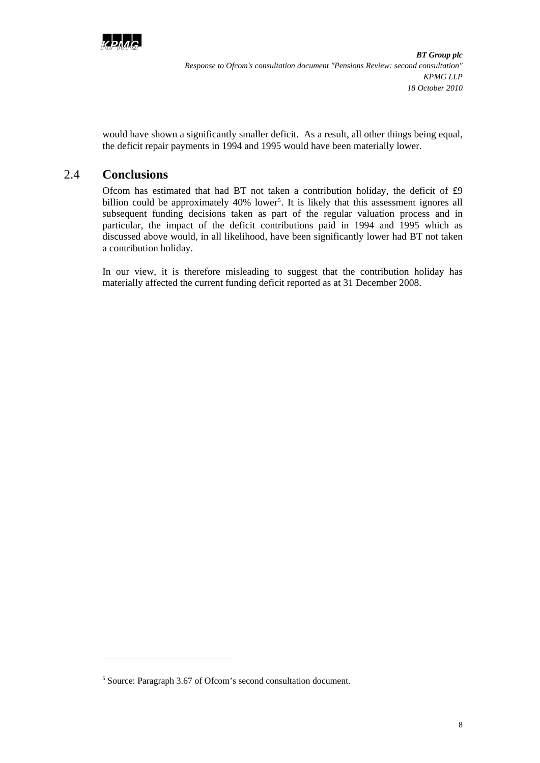

would have shown a significantly smaller deficit. As a result, all other things being equal, the deficit repair payments in 1994 and 1995 would have been materially lower.

#### <span id="page-10-0"></span>2.4 **Conclusions**

l

Ofcom has estimated that had BT not taken a contribution holiday, the deficit of £9 billion could be approximately 40% lower<sup>[5](#page-10-1)</sup>. It is likely that this assessment ignores all subsequent funding decisions taken as part of the regular valuation process and in particular, the impact of the deficit contributions paid in 1994 and 1995 which as discussed above would, in all likelihood, have been significantly lower had BT not taken a contribution holiday.

In our view, it is therefore misleading to suggest that the contribution holiday has materially affected the current funding deficit reported as at 31 December 2008.

<span id="page-10-1"></span><sup>5</sup> Source: Paragraph 3.67 of Ofcom's second consultation document.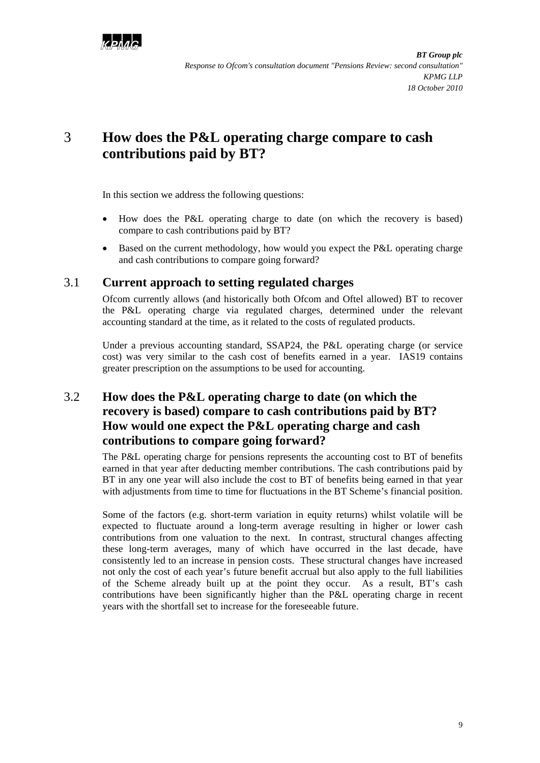

# <span id="page-11-0"></span>3 **How does the P&L operating charge compare to cash contributions paid by BT?**

In this section we address the following questions:

- How does the P&L operating charge to date (on which the recovery is based) compare to cash contributions paid by BT?
- Based on the current methodology, how would you expect the P&L operating charge and cash contributions to compare going forward?

#### <span id="page-11-1"></span>3.1 **Current approach to setting regulated charges**

Ofcom currently allows (and historically both Ofcom and Oftel allowed) BT to recover the P&L operating charge via regulated charges, determined under the relevant accounting standard at the time, as it related to the costs of regulated products.

Under a previous accounting standard, SSAP24, the P&L operating charge (or service cost) was very similar to the cash cost of benefits earned in a year. IAS19 contains greater prescription on the assumptions to be used for accounting.

## <span id="page-11-2"></span>3.2 **How does the P&L operating charge to date (on which the recovery is based) compare to cash contributions paid by BT? How would one expect the P&L operating charge and cash contributions to compare going forward?**

The P&L operating charge for pensions represents the accounting cost to BT of benefits earned in that year after deducting member contributions. The cash contributions paid by BT in any one year will also include the cost to BT of benefits being earned in that year with adjustments from time to time for fluctuations in the BT Scheme's financial position.

Some of the factors (e.g. short-term variation in equity returns) whilst volatile will be expected to fluctuate around a long-term average resulting in higher or lower cash contributions from one valuation to the next. In contrast, structural changes affecting these long-term averages, many of which have occurred in the last decade, have consistently led to an increase in pension costs. These structural changes have increased not only the cost of each year's future benefit accrual but also apply to the full liabilities of the Scheme already built up at the point they occur. As a result, BT's cash contributions have been significantly higher than the P&L operating charge in recent years with the shortfall set to increase for the foreseeable future.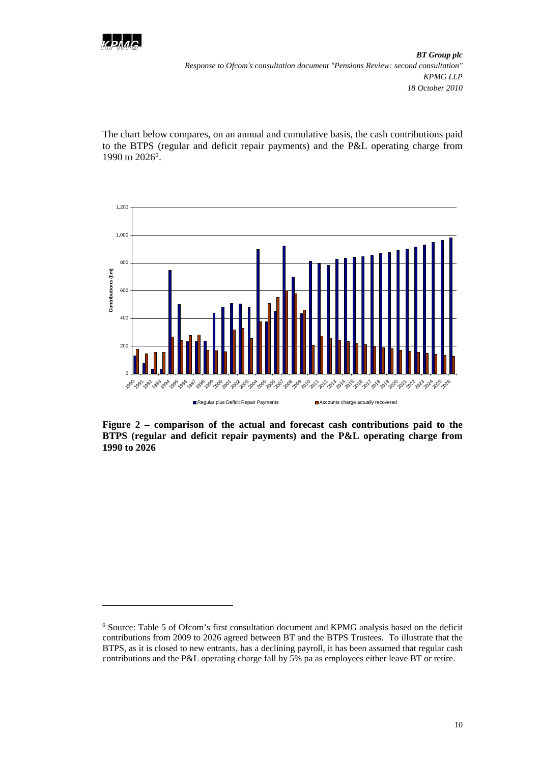

l

*BT Group plc Response to Ofcom's consultation document "Pensions Review: second consultation" KPMG LLP 18 October 2010* 

The chart below compares, on an annual and cumulative basis, the cash contributions paid to the BTPS (regular and deficit repair payments) and the P&L operating charge from 1990 to 202[6](#page-12-0)<sup>6</sup>.



**Figure 2 – comparison of the actual and forecast cash contributions paid to the BTPS (regular and deficit repair payments) and the P&L operating charge from 1990 to 2026** 

<span id="page-12-0"></span><sup>6</sup> Source: Table 5 of Ofcom's first consultation document and KPMG analysis based on the deficit contributions from 2009 to 2026 agreed between BT and the BTPS Trustees. To illustrate that the BTPS, as it is closed to new entrants, has a declining payroll, it has been assumed that regular cash contributions and the P&L operating charge fall by 5% pa as employees either leave BT or retire.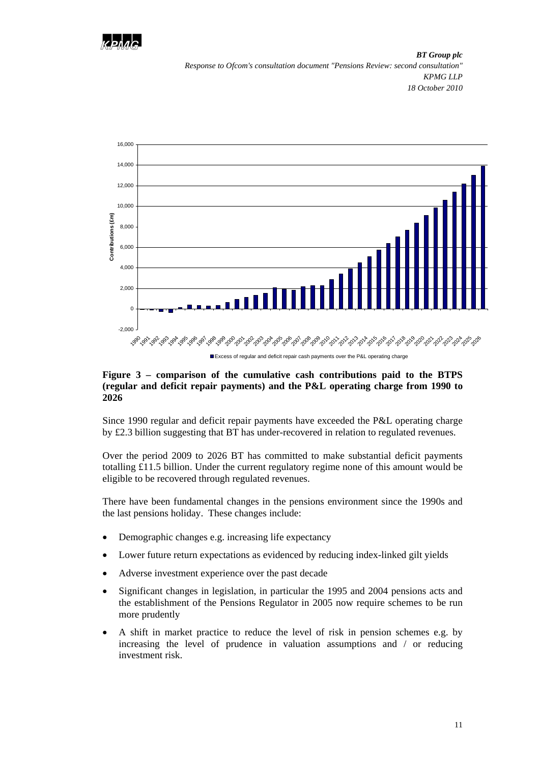



#### **Figure 3 – comparison of the cumulative cash contributions paid to the BTPS (regular and deficit repair payments) and the P&L operating charge from 1990 to 2026**

Since 1990 regular and deficit repair payments have exceeded the P&L operating charge by £2.3 billion suggesting that BT has under-recovered in relation to regulated revenues.

Over the period 2009 to 2026 BT has committed to make substantial deficit payments totalling £11.5 billion. Under the current regulatory regime none of this amount would be eligible to be recovered through regulated revenues.

There have been fundamental changes in the pensions environment since the 1990s and the last pensions holiday. These changes include:

- Demographic changes e.g. increasing life expectancy
- Lower future return expectations as evidenced by reducing index-linked gilt yields
- Adverse investment experience over the past decade
- Significant changes in legislation, in particular the 1995 and 2004 pensions acts and the establishment of the Pensions Regulator in 2005 now require schemes to be run more prudently
- A shift in market practice to reduce the level of risk in pension schemes e.g. by increasing the level of prudence in valuation assumptions and / or reducing investment risk.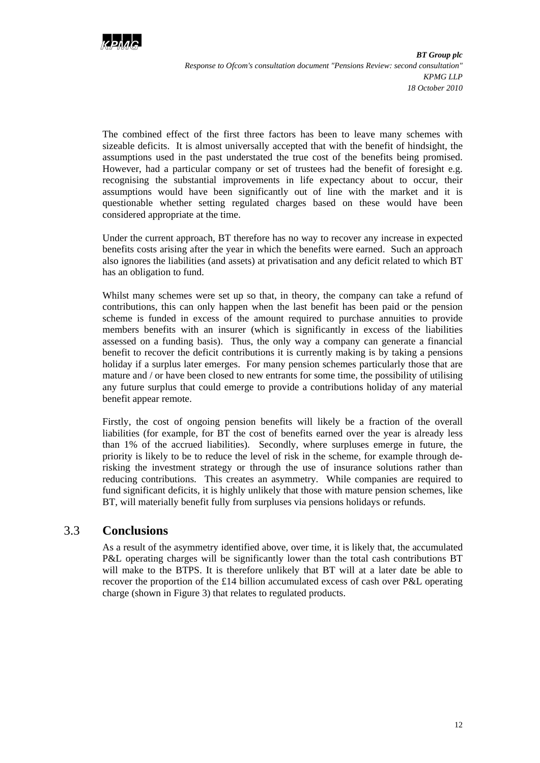

The combined effect of the first three factors has been to leave many schemes with sizeable deficits. It is almost universally accepted that with the benefit of hindsight, the assumptions used in the past understated the true cost of the benefits being promised. However, had a particular company or set of trustees had the benefit of foresight e.g. recognising the substantial improvements in life expectancy about to occur, their assumptions would have been significantly out of line with the market and it is questionable whether setting regulated charges based on these would have been considered appropriate at the time.

Under the current approach, BT therefore has no way to recover any increase in expected benefits costs arising after the year in which the benefits were earned. Such an approach also ignores the liabilities (and assets) at privatisation and any deficit related to which BT has an obligation to fund.

Whilst many schemes were set up so that, in theory, the company can take a refund of contributions, this can only happen when the last benefit has been paid or the pension scheme is funded in excess of the amount required to purchase annuities to provide members benefits with an insurer (which is significantly in excess of the liabilities assessed on a funding basis). Thus, the only way a company can generate a financial benefit to recover the deficit contributions it is currently making is by taking a pensions holiday if a surplus later emerges. For many pension schemes particularly those that are mature and / or have been closed to new entrants for some time, the possibility of utilising any future surplus that could emerge to provide a contributions holiday of any material benefit appear remote.

Firstly, the cost of ongoing pension benefits will likely be a fraction of the overall liabilities (for example, for BT the cost of benefits earned over the year is already less than 1% of the accrued liabilities). Secondly, where surpluses emerge in future, the priority is likely to be to reduce the level of risk in the scheme, for example through derisking the investment strategy or through the use of insurance solutions rather than reducing contributions. This creates an asymmetry. While companies are required to fund significant deficits, it is highly unlikely that those with mature pension schemes, like BT, will materially benefit fully from surpluses via pensions holidays or refunds.

#### <span id="page-14-0"></span>3.3 **Conclusions**

As a result of the asymmetry identified above, over time, it is likely that, the accumulated P&L operating charges will be significantly lower than the total cash contributions BT will make to the BTPS. It is therefore unlikely that BT will at a later date be able to recover the proportion of the £14 billion accumulated excess of cash over P&L operating charge (shown in Figure 3) that relates to regulated products.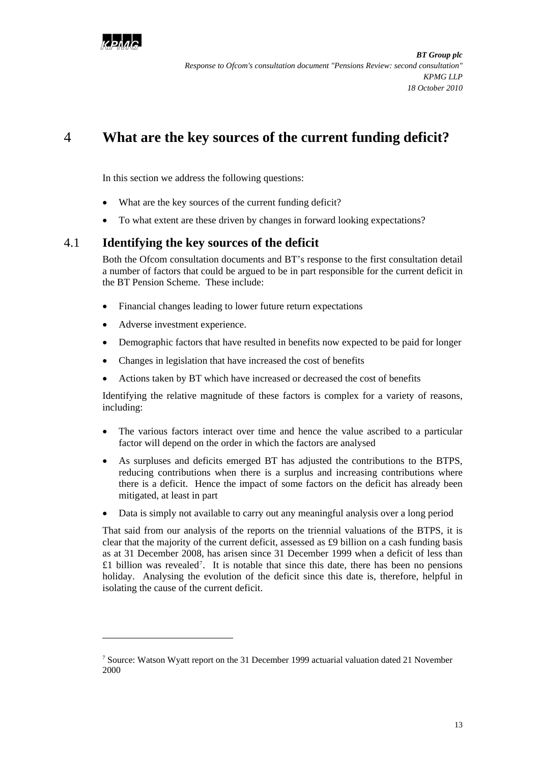

# <span id="page-15-0"></span>4 **What are the key sources of the current funding deficit?**

In this section we address the following questions:

- What are the key sources of the current funding deficit?
- To what extent are these driven by changes in forward looking expectations?

### <span id="page-15-1"></span>4.1 **Identifying the key sources of the deficit**

Both the Ofcom consultation documents and BT's response to the first consultation detail a number of factors that could be argued to be in part responsible for the current deficit in the BT Pension Scheme. These include:

- Financial changes leading to lower future return expectations
- Adverse investment experience.

l

- Demographic factors that have resulted in benefits now expected to be paid for longer
- Changes in legislation that have increased the cost of benefits
- Actions taken by BT which have increased or decreased the cost of benefits

Identifying the relative magnitude of these factors is complex for a variety of reasons, including:

- The various factors interact over time and hence the value ascribed to a particular factor will depend on the order in which the factors are analysed
- As surpluses and deficits emerged BT has adjusted the contributions to the BTPS, reducing contributions when there is a surplus and increasing contributions where there is a deficit. Hence the impact of some factors on the deficit has already been mitigated, at least in part
- Data is simply not available to carry out any meaningful analysis over a long period

That said from our analysis of the reports on the triennial valuations of the BTPS, it is clear that the majority of the current deficit, assessed as £9 billion on a cash funding basis as at 31 December 2008, has arisen since 31 December 1999 when a deficit of less than  $£1$  billion was revealed<sup>[7](#page-15-2)</sup>. It is notable that since this date, there has been no pensions holiday. Analysing the evolution of the deficit since this date is, therefore, helpful in isolating the cause of the current deficit.

<span id="page-15-2"></span><sup>&</sup>lt;sup>7</sup> Source: Watson Wyatt report on the 31 December 1999 actuarial valuation dated 21 November 2000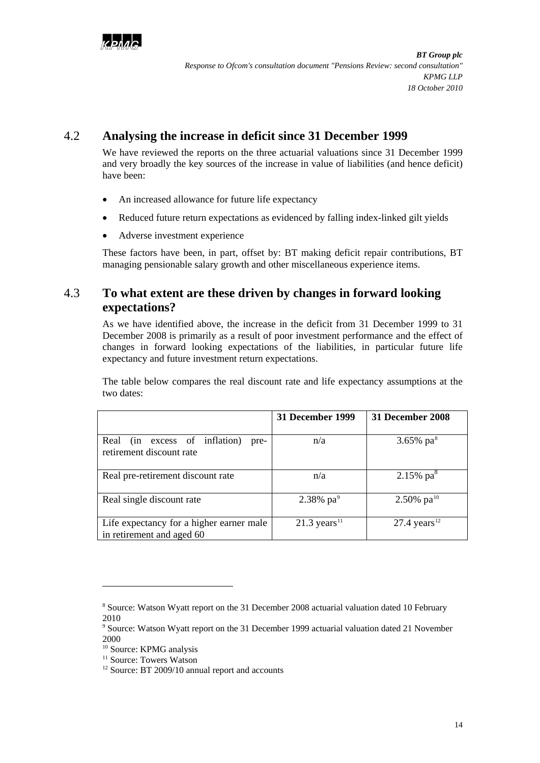

## <span id="page-16-0"></span>4.2 **Analysing the increase in deficit since 31 December 1999**

We have reviewed the reports on the three actuarial valuations since 31 December 1999 and very broadly the key sources of the increase in value of liabilities (and hence deficit) have been:

- An increased allowance for future life expectancy
- Reduced future return expectations as evidenced by falling index-linked gilt yields
- Adverse investment experience

These factors have been, in part, offset by: BT making deficit repair contributions, BT managing pensionable salary growth and other miscellaneous experience items.

## <span id="page-16-1"></span>4.3 **To what extent are these driven by changes in forward looking expectations?**

As we have identified above, the increase in the deficit from 31 December 1999 to 31 December 2008 is primarily as a result of poor investment performance and the effect of changes in forward looking expectations of the liabilities, in particular future life expectancy and future investment return expectations.

The table below compares the real discount rate and life expectancy assumptions at the two dates:

|                                                                       | 31 December 1999           | 31 December 2008           |
|-----------------------------------------------------------------------|----------------------------|----------------------------|
| Real (in excess of inflation)<br>pre-<br>retirement discount rate     | n/a                        | 3.65% $pa^8$               |
| Real pre-retirement discount rate                                     | n/a                        | $2.15\%$ pa $8$            |
| Real single discount rate                                             | $2.38\%$ pa <sup>9</sup>   | 2.50% $pa^{10}$            |
| Life expectancy for a higher earner male<br>in retirement and aged 60 | $21.3$ years <sup>11</sup> | $27.4$ years <sup>12</sup> |

 $\overline{a}$ 

<span id="page-16-2"></span><sup>&</sup>lt;sup>8</sup> Source: Watson Wyatt report on the 31 December 2008 actuarial valuation dated 10 February 2010

<span id="page-16-3"></span><sup>&</sup>lt;sup>9</sup> Source: Watson Wyatt report on the 31 December 1999 actuarial valuation dated 21 November 2000

<span id="page-16-4"></span><sup>&</sup>lt;sup>10</sup> Source: KPMG analysis

<span id="page-16-5"></span><sup>&</sup>lt;sup>11</sup> Source: Towers Watson

<span id="page-16-6"></span><sup>&</sup>lt;sup>12</sup> Source: BT 2009/10 annual report and accounts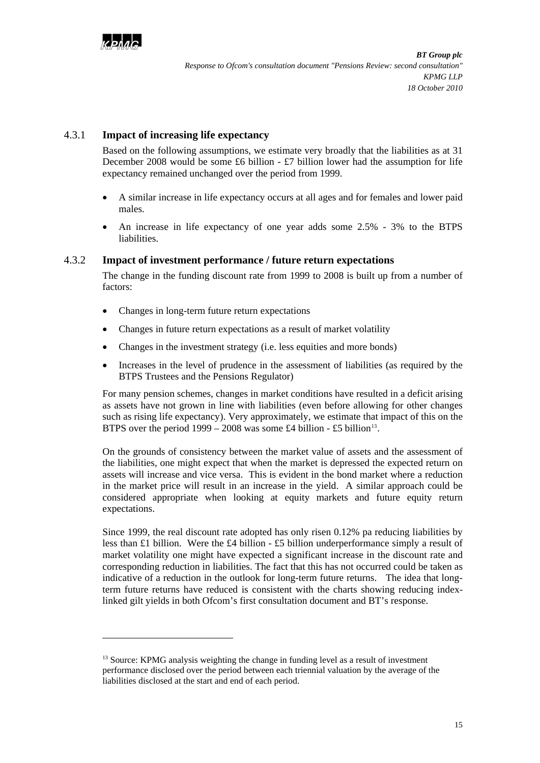

l

#### 4.3.1 **Impact of increasing life expectancy**

Based on the following assumptions, we estimate very broadly that the liabilities as at 31 December 2008 would be some £6 billion  $-$  £7 billion lower had the assumption for life expectancy remained unchanged over the period from 1999.

- A similar increase in life expectancy occurs at all ages and for females and lower paid males.
- An increase in life expectancy of one year adds some 2.5% 3% to the BTPS liabilities.

#### 4.3.2 **Impact of investment performance / future return expectations**

The change in the funding discount rate from 1999 to 2008 is built up from a number of factors:

- Changes in long-term future return expectations
- Changes in future return expectations as a result of market volatility
- Changes in the investment strategy (i.e. less equities and more bonds)
- Increases in the level of prudence in the assessment of liabilities (as required by the BTPS Trustees and the Pensions Regulator)

For many pension schemes, changes in market conditions have resulted in a deficit arising as assets have not grown in line with liabilities (even before allowing for other changes such as rising life expectancy). Very approximately, we estimate that impact of this on the BTPS over the period  $1999 - 2008$  was some £4 billion - £5 billion<sup>[13](#page-17-0)</sup>.

On the grounds of consistency between the market value of assets and the assessment of the liabilities, one might expect that when the market is depressed the expected return on assets will increase and vice versa. This is evident in the bond market where a reduction in the market price will result in an increase in the yield. A similar approach could be considered appropriate when looking at equity markets and future equity return expectations.

Since 1999, the real discount rate adopted has only risen 0.12% pa reducing liabilities by less than £1 billion. Were the £4 billion - £5 billion underperformance simply a result of market volatility one might have expected a significant increase in the discount rate and corresponding reduction in liabilities. The fact that this has not occurred could be taken as indicative of a reduction in the outlook for long-term future returns. The idea that longterm future returns have reduced is consistent with the charts showing reducing indexlinked gilt yields in both Ofcom's first consultation document and BT's response.

<span id="page-17-0"></span> $13$  Source: KPMG analysis weighting the change in funding level as a result of investment performance disclosed over the period between each triennial valuation by the average of the liabilities disclosed at the start and end of each period.